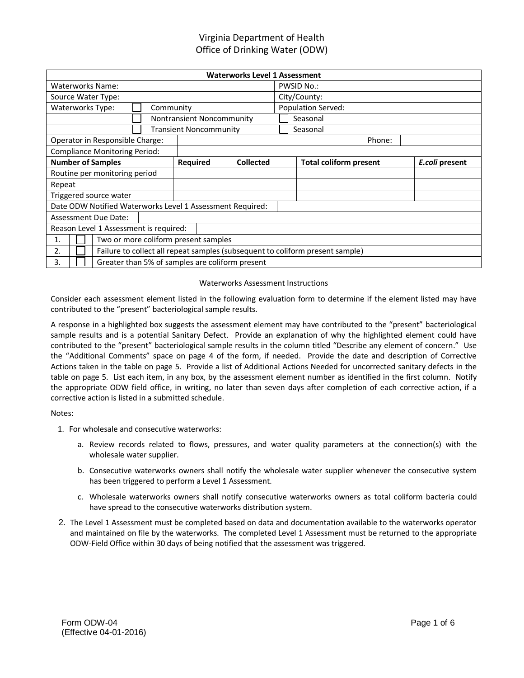| <b>Waterworks Level 1 Assessment</b>                                                |                           |  |                                                 |              |        |  |  |  |
|-------------------------------------------------------------------------------------|---------------------------|--|-------------------------------------------------|--------------|--------|--|--|--|
| <b>Waterworks Name:</b>                                                             |                           |  | <b>PWSID No.:</b>                               |              |        |  |  |  |
| Source Water Type:                                                                  |                           |  |                                                 | City/County: |        |  |  |  |
| Waterworks Type:<br>Community                                                       |                           |  | Population Served:                              |              |        |  |  |  |
|                                                                                     | Nontransient Noncommunity |  | Seasonal                                        |              |        |  |  |  |
| <b>Transient Noncommunity</b><br>Seasonal                                           |                           |  |                                                 |              |        |  |  |  |
| Operator in Responsible Charge:                                                     |                           |  |                                                 |              | Phone: |  |  |  |
| <b>Compliance Monitoring Period:</b>                                                |                           |  |                                                 |              |        |  |  |  |
| <b>Number of Samples</b><br><b>Required</b><br><b>Collected</b>                     |                           |  | <b>Total coliform present</b><br>E.coli present |              |        |  |  |  |
| Routine per monitoring period                                                       |                           |  |                                                 |              |        |  |  |  |
| Repeat                                                                              |                           |  |                                                 |              |        |  |  |  |
| Triggered source water                                                              |                           |  |                                                 |              |        |  |  |  |
| Date ODW Notified Waterworks Level 1 Assessment Required:                           |                           |  |                                                 |              |        |  |  |  |
| <b>Assessment Due Date:</b>                                                         |                           |  |                                                 |              |        |  |  |  |
| Reason Level 1 Assessment is required:                                              |                           |  |                                                 |              |        |  |  |  |
| Two or more coliform present samples<br>1.                                          |                           |  |                                                 |              |        |  |  |  |
| Failure to collect all repeat samples (subsequent to coliform present sample)<br>2. |                           |  |                                                 |              |        |  |  |  |
| Greater than 5% of samples are coliform present<br>3.                               |                           |  |                                                 |              |        |  |  |  |

#### Waterworks Assessment Instructions

Consider each assessment element listed in the following evaluation form to determine if the element listed may have contributed to the "present" bacteriological sample results.

A response in a highlighted box suggests the assessment element may have contributed to the "present" bacteriological sample results and is a potential Sanitary Defect. Provide an explanation of why the highlighted element could have contributed to the "present" bacteriological sample results in the column titled "Describe any element of concern." Use the "Additional Comments" space on page 4 of the form, if needed. Provide the date and description of Corrective Actions taken in the table on page 5. Provide a list of Additional Actions Needed for uncorrected sanitary defects in the table on page 5. List each item, in any box, by the assessment element number as identified in the first column. Notify the appropriate ODW field office, in writing, no later than seven days after completion of each corrective action, if a corrective action is listed in a submitted schedule.

Notes:

- 1. For wholesale and consecutive waterworks:
	- a. Review records related to flows, pressures, and water quality parameters at the connection(s) with the wholesale water supplier.
	- b. Consecutive waterworks owners shall notify the wholesale water supplier whenever the consecutive system has been triggered to perform a Level 1 Assessment.
	- c. Wholesale waterworks owners shall notify consecutive waterworks owners as total coliform bacteria could have spread to the consecutive waterworks distribution system.
- 2. The Level 1 Assessment must be completed based on data and documentation available to the waterworks operator and maintained on file by the waterworks. The completed Level 1 Assessment must be returned to the appropriate ODW-Field Office within 30 days of being notified that the assessment was triggered.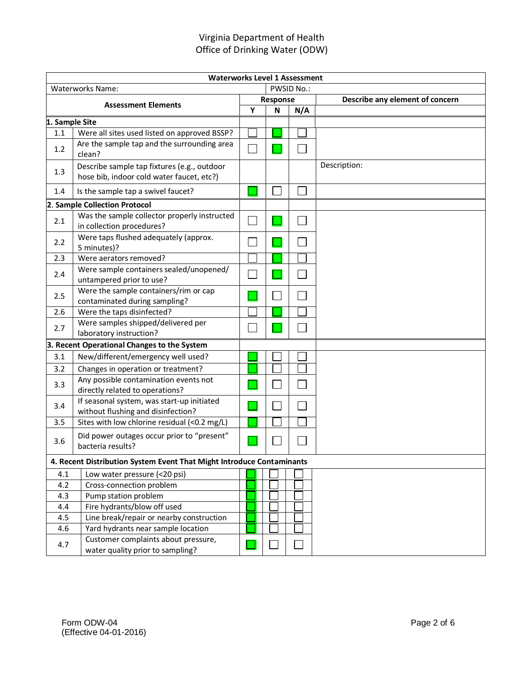| <b>Waterworks Level 1 Assessment</b>                                                    |                                                                                          |          |   |     |                                 |
|-----------------------------------------------------------------------------------------|------------------------------------------------------------------------------------------|----------|---|-----|---------------------------------|
| PWSID No.:<br><b>Waterworks Name:</b>                                                   |                                                                                          |          |   |     |                                 |
| <b>Assessment Elements</b>                                                              |                                                                                          | Response |   |     | Describe any element of concern |
|                                                                                         |                                                                                          | Y        | N | N/A |                                 |
| 1. Sample Site                                                                          |                                                                                          |          |   |     |                                 |
| 1.1                                                                                     | Were all sites used listed on approved BSSP?                                             |          |   |     |                                 |
| 1.2                                                                                     | Are the sample tap and the surrounding area<br>clean?                                    |          |   |     |                                 |
| 1.3                                                                                     | Describe sample tap fixtures (e.g., outdoor<br>hose bib, indoor cold water faucet, etc?) |          |   |     | Description:                    |
| 1.4                                                                                     | Is the sample tap a swivel faucet?                                                       |          |   |     |                                 |
|                                                                                         | 2. Sample Collection Protocol                                                            |          |   |     |                                 |
| 2.1                                                                                     | Was the sample collector properly instructed<br>in collection procedures?                |          |   |     |                                 |
| 2.2                                                                                     | Were taps flushed adequately (approx.<br>5 minutes)?                                     |          |   |     |                                 |
| 2.3                                                                                     | Were aerators removed?                                                                   |          |   |     |                                 |
| 2.4                                                                                     | Were sample containers sealed/unopened/<br>untampered prior to use?                      |          |   |     |                                 |
| 2.5                                                                                     | Were the sample containers/rim or cap<br>contaminated during sampling?                   |          |   |     |                                 |
| 2.6                                                                                     | Were the taps disinfected?                                                               |          |   |     |                                 |
| 2.7                                                                                     | Were samples shipped/delivered per<br>laboratory instruction?                            |          |   |     |                                 |
|                                                                                         | 3. Recent Operational Changes to the System                                              |          |   |     |                                 |
| 3.1                                                                                     | New/different/emergency well used?                                                       |          |   |     |                                 |
| 3.2                                                                                     | Changes in operation or treatment?                                                       |          |   |     |                                 |
| 3.3                                                                                     | Any possible contamination events not<br>directly related to operations?                 |          |   |     |                                 |
| If seasonal system, was start-up initiated<br>3.4<br>without flushing and disinfection? |                                                                                          |          |   |     |                                 |
| 3.5                                                                                     | Sites with low chlorine residual (<0.2 mg/L)                                             |          |   |     |                                 |
| 3.6                                                                                     | Did power outages occur prior to "present"<br>bacteria results?                          |          |   |     |                                 |
| 4. Recent Distribution System Event That Might Introduce Contaminants                   |                                                                                          |          |   |     |                                 |
| Low water pressure (<20 psi)<br>4.1                                                     |                                                                                          |          |   |     |                                 |
| 4.2                                                                                     | Cross-connection problem                                                                 |          |   |     |                                 |
| 4.3                                                                                     | Pump station problem                                                                     |          |   |     |                                 |
| 4.4                                                                                     | Fire hydrants/blow off used                                                              |          |   |     |                                 |
| 4.5                                                                                     | Line break/repair or nearby construction                                                 |          |   |     |                                 |
| 4.6                                                                                     | Yard hydrants near sample location                                                       |          |   |     |                                 |
| 4.7                                                                                     | Customer complaints about pressure,<br>water quality prior to sampling?                  |          |   |     |                                 |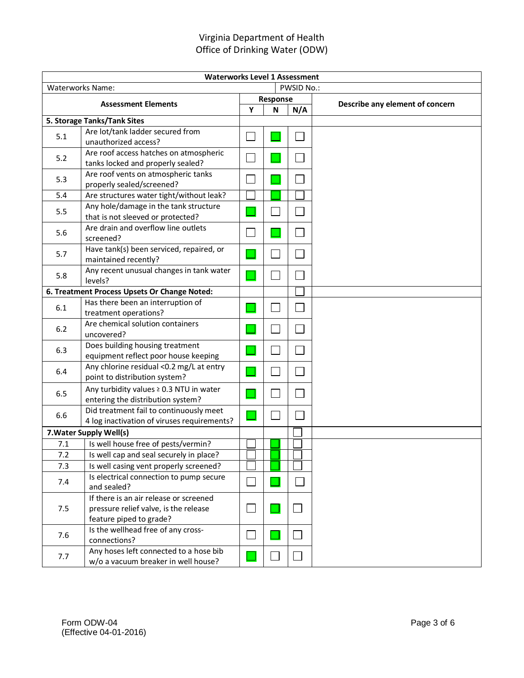| <b>Waterworks Level 1 Assessment</b>         |                                                                                                            |                |          |                   |                                 |  |
|----------------------------------------------|------------------------------------------------------------------------------------------------------------|----------------|----------|-------------------|---------------------------------|--|
| <b>PWSID No.:</b><br><b>Waterworks Name:</b> |                                                                                                            |                |          |                   |                                 |  |
|                                              |                                                                                                            |                | Response |                   |                                 |  |
| <b>Assessment Elements</b>                   |                                                                                                            | Y              | N        | N/A               | Describe any element of concern |  |
|                                              | 5. Storage Tanks/Tank Sites                                                                                |                |          |                   |                                 |  |
| 5.1                                          | Are lot/tank ladder secured from<br>unauthorized access?                                                   |                |          |                   |                                 |  |
| 5.2                                          | Are roof access hatches on atmospheric<br>tanks locked and properly sealed?                                |                |          |                   |                                 |  |
| 5.3                                          | Are roof vents on atmospheric tanks<br>properly sealed/screened?                                           |                |          |                   |                                 |  |
| 5.4                                          | Are structures water tight/without leak?                                                                   |                |          |                   |                                 |  |
| 5.5                                          | Any hole/damage in the tank structure<br>that is not sleeved or protected?                                 |                |          |                   |                                 |  |
| 5.6                                          | Are drain and overflow line outlets<br>screened?                                                           |                |          |                   |                                 |  |
| 5.7                                          | Have tank(s) been serviced, repaired, or<br>maintained recently?                                           |                |          |                   |                                 |  |
| 5.8                                          | Any recent unusual changes in tank water<br>levels?                                                        |                |          |                   |                                 |  |
|                                              | 6. Treatment Process Upsets Or Change Noted:                                                               |                |          |                   |                                 |  |
| 6.1                                          | Has there been an interruption of<br>treatment operations?                                                 |                |          |                   |                                 |  |
| 6.2                                          | Are chemical solution containers<br>uncovered?                                                             |                |          |                   |                                 |  |
| 6.3                                          | Does building housing treatment<br>equipment reflect poor house keeping                                    |                |          |                   |                                 |  |
| 6.4                                          | Any chlorine residual <0.2 mg/L at entry<br>point to distribution system?                                  |                |          |                   |                                 |  |
| 6.5                                          | Any turbidity values ≥ 0.3 NTU in water<br>entering the distribution system?                               |                |          |                   |                                 |  |
| 6.6                                          | Did treatment fail to continuously meet<br>4 log inactivation of viruses requirements?                     |                |          |                   |                                 |  |
| 7. Water Supply Well(s)                      |                                                                                                            |                |          |                   |                                 |  |
| 7.1                                          | Is well house free of pests/vermin?                                                                        |                |          |                   |                                 |  |
| 7.2                                          | Is well cap and seal securely in place?                                                                    |                |          |                   |                                 |  |
| 7.3                                          | Is well casing vent properly screened?                                                                     |                |          |                   |                                 |  |
| 7.4                                          | Is electrical connection to pump secure<br>and sealed?                                                     | T.             |          |                   |                                 |  |
| 7.5                                          | If there is an air release or screened<br>pressure relief valve, is the release<br>feature piped to grade? | $\blacksquare$ |          | $\vert \ \ \vert$ |                                 |  |
| 7.6                                          | Is the wellhead free of any cross-<br>connections?                                                         |                |          |                   |                                 |  |
| 7.7                                          | Any hoses left connected to a hose bib<br>w/o a vacuum breaker in well house?                              |                |          |                   |                                 |  |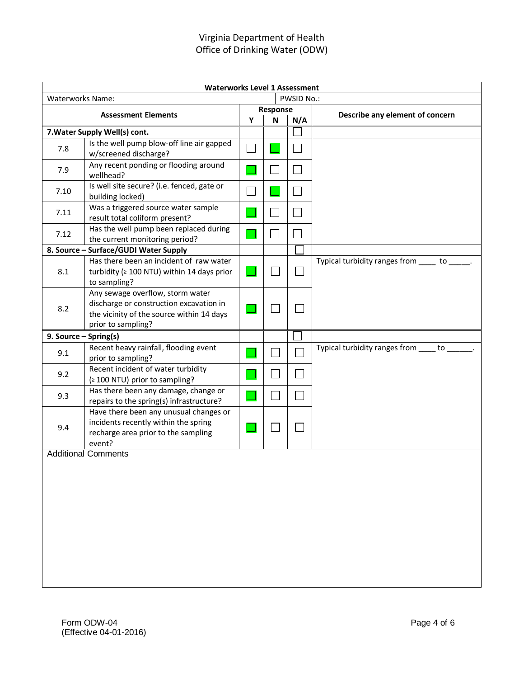| <b>Waterworks Level 1 Assessment</b>  |                                                                                                                                                |          |   |     |                                             |  |
|---------------------------------------|------------------------------------------------------------------------------------------------------------------------------------------------|----------|---|-----|---------------------------------------------|--|
| <b>Waterworks Name:</b><br>PWSID No.: |                                                                                                                                                |          |   |     |                                             |  |
| <b>Assessment Elements</b>            |                                                                                                                                                | Response |   |     | Describe any element of concern             |  |
| 7. Water Supply Well(s) cont.         |                                                                                                                                                | Y        | N | N/A |                                             |  |
|                                       | Is the well pump blow-off line air gapped                                                                                                      |          |   |     |                                             |  |
| 7.8                                   | w/screened discharge?                                                                                                                          |          |   |     |                                             |  |
| 7.9                                   | Any recent ponding or flooding around<br>wellhead?                                                                                             |          |   |     |                                             |  |
| 7.10                                  | Is well site secure? (i.e. fenced, gate or<br>building locked)                                                                                 |          |   |     |                                             |  |
| 7.11                                  | Was a triggered source water sample<br>result total coliform present?                                                                          |          |   |     |                                             |  |
| 7.12                                  | Has the well pump been replaced during<br>the current monitoring period?                                                                       |          |   |     |                                             |  |
|                                       | 8. Source - Surface/GUDI Water Supply                                                                                                          |          |   |     |                                             |  |
| 8.1                                   | Has there been an incident of raw water<br>turbidity (≥ 100 NTU) within 14 days prior<br>to sampling?                                          |          |   |     | Typical turbidity ranges from _____ to ____ |  |
| 8.2                                   | Any sewage overflow, storm water<br>discharge or construction excavation in<br>the vicinity of the source within 14 days<br>prior to sampling? |          |   |     |                                             |  |
| 9. Source - Spring(s)                 |                                                                                                                                                |          |   |     |                                             |  |
| 9.1                                   | Recent heavy rainfall, flooding event<br>prior to sampling?                                                                                    |          |   |     | Typical turbidity ranges from ____ to __    |  |
| 9.2                                   | Recent incident of water turbidity<br>(≥ 100 NTU) prior to sampling?                                                                           |          |   |     |                                             |  |
| 9.3                                   | Has there been any damage, change or<br>repairs to the spring(s) infrastructure?                                                               |          |   |     |                                             |  |
| 9.4                                   | Have there been any unusual changes or<br>incidents recently within the spring<br>recharge area prior to the sampling<br>event?                |          |   |     |                                             |  |
|                                       | <b>Additional Comments</b>                                                                                                                     |          |   |     |                                             |  |
|                                       |                                                                                                                                                |          |   |     |                                             |  |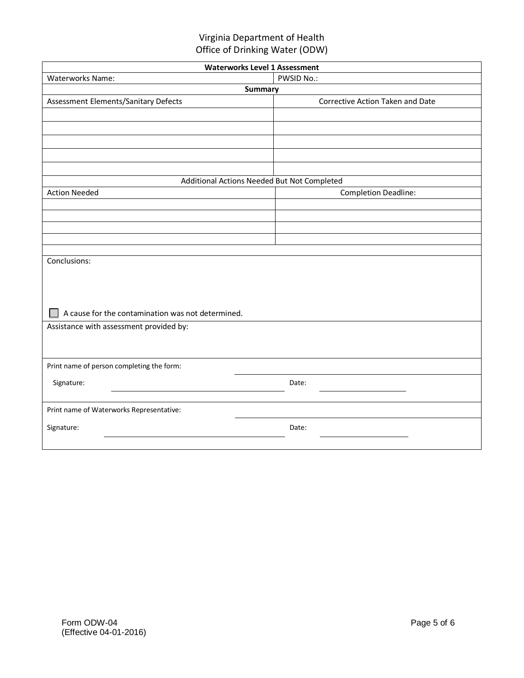| <b>Waterworks Level 1 Assessment</b>              |                                             |  |  |  |  |  |  |
|---------------------------------------------------|---------------------------------------------|--|--|--|--|--|--|
| <b>PWSID No.:</b><br><b>Waterworks Name:</b>      |                                             |  |  |  |  |  |  |
| <b>Summary</b>                                    |                                             |  |  |  |  |  |  |
| Assessment Elements/Sanitary Defects              | Corrective Action Taken and Date            |  |  |  |  |  |  |
|                                                   |                                             |  |  |  |  |  |  |
|                                                   |                                             |  |  |  |  |  |  |
|                                                   |                                             |  |  |  |  |  |  |
|                                                   |                                             |  |  |  |  |  |  |
|                                                   |                                             |  |  |  |  |  |  |
|                                                   | Additional Actions Needed But Not Completed |  |  |  |  |  |  |
| <b>Action Needed</b>                              | <b>Completion Deadline:</b>                 |  |  |  |  |  |  |
|                                                   |                                             |  |  |  |  |  |  |
|                                                   |                                             |  |  |  |  |  |  |
|                                                   |                                             |  |  |  |  |  |  |
|                                                   |                                             |  |  |  |  |  |  |
| Conclusions:                                      |                                             |  |  |  |  |  |  |
|                                                   |                                             |  |  |  |  |  |  |
|                                                   |                                             |  |  |  |  |  |  |
|                                                   |                                             |  |  |  |  |  |  |
|                                                   |                                             |  |  |  |  |  |  |
| A cause for the contamination was not determined. |                                             |  |  |  |  |  |  |
| Assistance with assessment provided by:           |                                             |  |  |  |  |  |  |
|                                                   |                                             |  |  |  |  |  |  |
|                                                   |                                             |  |  |  |  |  |  |
| Print name of person completing the form:         |                                             |  |  |  |  |  |  |
| Signature:                                        | Date:                                       |  |  |  |  |  |  |
|                                                   |                                             |  |  |  |  |  |  |
| Print name of Waterworks Representative:          |                                             |  |  |  |  |  |  |
| Signature:                                        | Date:                                       |  |  |  |  |  |  |
|                                                   |                                             |  |  |  |  |  |  |